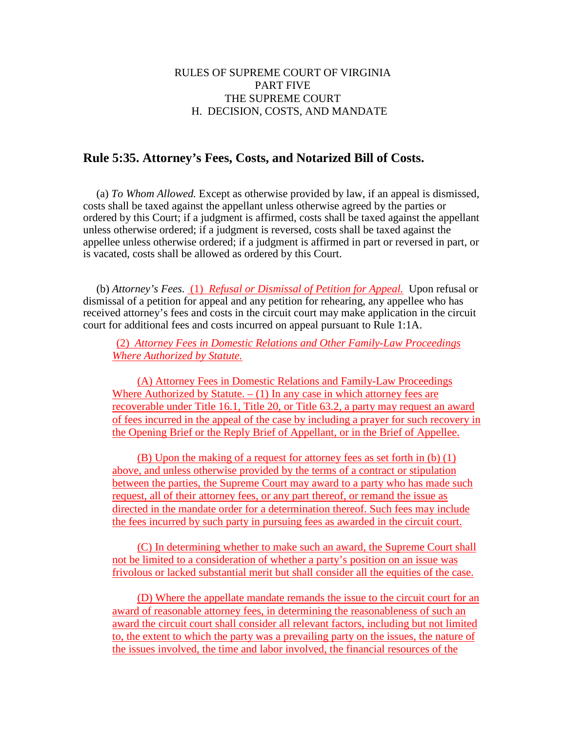## RULES OF SUPREME COURT OF VIRGINIA PART FIVE THE SUPREME COURT H. DECISION, COSTS, AND MANDATE

## **Rule 5:35. Attorney's Fees, Costs, and Notarized Bill of Costs.**

(a) *To Whom Allowed.* Except as otherwise provided by law, if an appeal is dismissed, costs shall be taxed against the appellant unless otherwise agreed by the parties or ordered by this Court; if a judgment is affirmed, costs shall be taxed against the appellant unless otherwise ordered; if a judgment is reversed, costs shall be taxed against the appellee unless otherwise ordered; if a judgment is affirmed in part or reversed in part, or is vacated, costs shall be allowed as ordered by this Court.

(b) *Attorney's Fees*. (1) *Refusal or Dismissal of Petition for Appeal.* Upon refusal or dismissal of a petition for appeal and any petition for rehearing, any appellee who has received attorney's fees and costs in the circuit court may make application in the circuit court for additional fees and costs incurred on appeal pursuant to Rule 1:1A.

(2) *Attorney Fees in Domestic Relations and Other Family-Law Proceedings Where Authorized by Statute.* 

(A) Attorney Fees in Domestic Relations and Family-Law Proceedings Where Authorized by Statute.  $- (1)$  In any case in which attorney fees are recoverable under Title 16.1, Title 20, or Title 63.2, a party may request an award of fees incurred in the appeal of the case by including a prayer for such recovery in the Opening Brief or the Reply Brief of Appellant, or in the Brief of Appellee.

(B) Upon the making of a request for attorney fees as set forth in (b) (1) above, and unless otherwise provided by the terms of a contract or stipulation between the parties, the Supreme Court may award to a party who has made such request, all of their attorney fees, or any part thereof, or remand the issue as directed in the mandate order for a determination thereof. Such fees may include the fees incurred by such party in pursuing fees as awarded in the circuit court.

(C) In determining whether to make such an award, the Supreme Court shall not be limited to a consideration of whether a party's position on an issue was frivolous or lacked substantial merit but shall consider all the equities of the case.

(D) Where the appellate mandate remands the issue to the circuit court for an award of reasonable attorney fees, in determining the reasonableness of such an award the circuit court shall consider all relevant factors, including but not limited to, the extent to which the party was a prevailing party on the issues, the nature of the issues involved, the time and labor involved, the financial resources of the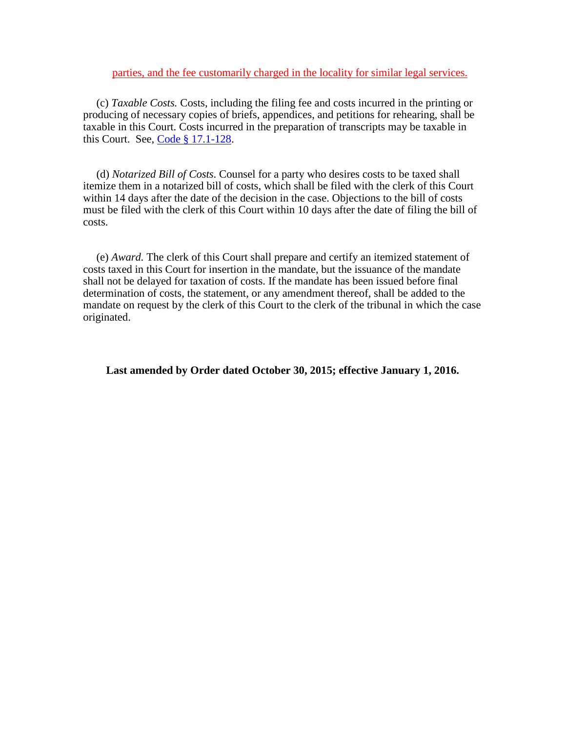parties, and the fee customarily charged in the locality for similar legal services.

(c) *Taxable Costs.* Costs, including the filing fee and costs incurred in the printing or producing of necessary copies of briefs, appendices, and petitions for rehearing, shall be taxable in this Court. Costs incurred in the preparation of transcripts may be taxable in this Court. See, [Code § 17.1-128.](http://leg1.state.va.us/cgi-bin/legp504.exe?000+cod+17.1-128)

(d) *Notarized Bill of Costs*. Counsel for a party who desires costs to be taxed shall itemize them in a notarized bill of costs, which shall be filed with the clerk of this Court within 14 days after the date of the decision in the case. Objections to the bill of costs must be filed with the clerk of this Court within 10 days after the date of filing the bill of costs.

(e) *Award.* The clerk of this Court shall prepare and certify an itemized statement of costs taxed in this Court for insertion in the mandate, but the issuance of the mandate shall not be delayed for taxation of costs. If the mandate has been issued before final determination of costs, the statement, or any amendment thereof, shall be added to the mandate on request by the clerk of this Court to the clerk of the tribunal in which the case originated.

**Last amended by Order dated October 30, 2015; effective January 1, 2016.**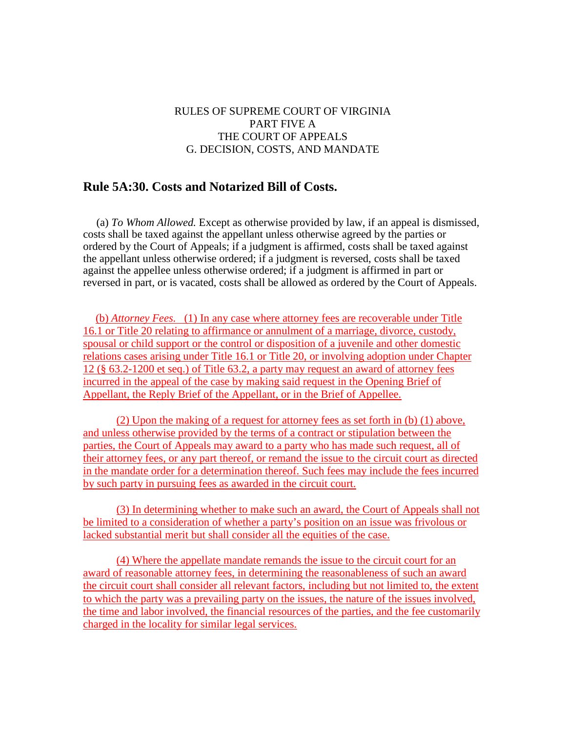## RULES OF SUPREME COURT OF VIRGINIA PART FIVE A THE COURT OF APPEALS G. DECISION, COSTS, AND MANDATE

## **Rule 5A:30. Costs and Notarized Bill of Costs.**

(a) *To Whom Allowed.* Except as otherwise provided by law, if an appeal is dismissed, costs shall be taxed against the appellant unless otherwise agreed by the parties or ordered by the Court of Appeals; if a judgment is affirmed, costs shall be taxed against the appellant unless otherwise ordered; if a judgment is reversed, costs shall be taxed against the appellee unless otherwise ordered; if a judgment is affirmed in part or reversed in part, or is vacated, costs shall be allowed as ordered by the Court of Appeals.

(b) *Attorney Fees.* (1) In any case where attorney fees are recoverable under Title 16.1 or Title 20 relating to affirmance or annulment of a marriage, divorce, custody, spousal or child support or the control or disposition of a juvenile and other domestic relations cases arising under Title 16.1 or Title 20, or involving adoption under Chapter 12 (§ 63.2-1200 et seq.) of Title 63.2, a party may request an award of attorney fees incurred in the appeal of the case by making said request in the Opening Brief of Appellant, the Reply Brief of the Appellant, or in the Brief of Appellee.

(2) Upon the making of a request for attorney fees as set forth in (b) (1) above, and unless otherwise provided by the terms of a contract or stipulation between the parties, the Court of Appeals may award to a party who has made such request, all of their attorney fees, or any part thereof, or remand the issue to the circuit court as directed in the mandate order for a determination thereof. Such fees may include the fees incurred by such party in pursuing fees as awarded in the circuit court.

(3) In determining whether to make such an award, the Court of Appeals shall not be limited to a consideration of whether a party's position on an issue was frivolous or lacked substantial merit but shall consider all the equities of the case.

(4) Where the appellate mandate remands the issue to the circuit court for an award of reasonable attorney fees, in determining the reasonableness of such an award the circuit court shall consider all relevant factors, including but not limited to, the extent to which the party was a prevailing party on the issues, the nature of the issues involved, the time and labor involved, the financial resources of the parties, and the fee customarily charged in the locality for similar legal services.